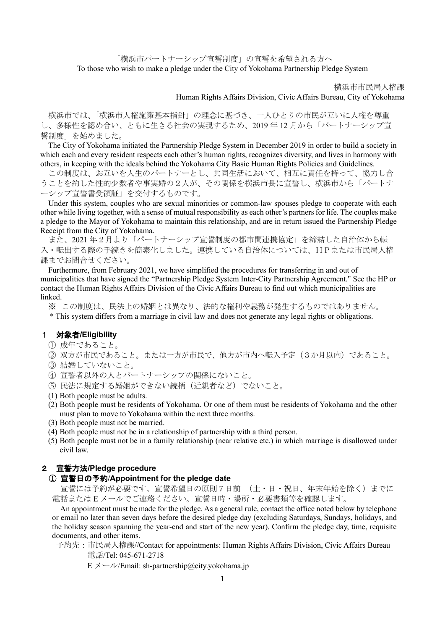「横浜市パートナーシップ宣誓制度」の宣誓を希望される方へ To those who wish to make a pledge under the City of Yokohama Partnership Pledge System

横浜市市民局人権課

# Human Rights Affairs Division, Civic Affairs Bureau, City of Yokohama

横浜市では、「横浜市人権施策基本指針」の理念に基づき、一人ひとりの市民が互いに人権を尊重 し、多様性を認め合い、ともに生きる社会の実現するため、2019 年 12 月から「パートナーシップ宣 誓制度」を始めました。

The City of Yokohama initiated the Partnership Pledge System in December 2019 in order to build a society in which each and every resident respects each other's human rights, recognizes diversity, and lives in harmony with others, in keeping with the ideals behind the Yokohama City Basic Human Rights Policies and Guidelines.

この制度は、お互いを人生のパートナーとし、共同生活において、相互に責任を持って、協力し合 うことを約した性的少数者や事実婚の2人が、その関係を横浜市長に宣誓し、横浜市から「パートナ ーシップ宣誓書受領証」を交付するものです。

Under this system, couples who are sexual minorities or common-law spouses pledge to cooperate with each other while living together, with a sense of mutual responsibility as each other's partners for life. The couples make a pledge to the Mayor of Yokohama to maintain this relationship, and are in return issued the Partnership Pledge Receipt from the City of Yokohama.

また、2021 年2月より「パートナーシップ宣誓制度の都市間連携協定」を締結した自治体から転 入・転出する際の手続きを簡素化しました。連携している自治体については、HPまたは市民局人権 課までお問合せください。

Furthermore, from February 2021, we have simplified the procedures for transferring in and out of municipalities that have signed the "Partnership Pledge System Inter-City Partnership Agreement." See the HP or contact the Human Rights Affairs Division of the Civic Affairs Bureau to find out which municipalities are linked.

※ この制度は、民法上の婚姻とは異なり、法的な権利や義務が発生するものではありません。

\* This system differs from a marriage in civil law and does not generate any legal rights or obligations.

### 1 対象者**/Eligibility**

- ① 成年であること。
- ② 双方が市民であること。または一方が市民で、他方が市内へ転入予定(3か月以内)であること。
- ③ 結婚していないこと。
- ④ 宣誓者以外の人とパートナーシップの関係にないこと。
- ⑤ 民法に規定する婚姻ができない続柄(近親者など)でないこと。
- (1) Both people must be adults.
- (2) Both people must be residents of Yokohama. Or one of them must be residents of Yokohama and the other must plan to move to Yokohama within the next three months.
- (3) Both people must not be married.
- (4) Both people must not be in a relationship of partnership with a third person.
- (5) Both people must not be in a family relationship (near relative etc.) in which marriage is disallowed under civil law.

### 2 宣誓方法**/Pledge procedure**

# ① 宣誓日の予約**/Appointment for the pledge date**

宣誓には予約が必要です。宣誓希望日の原則7日前 (土・日・祝日、年末年始を除く)までに 電話または E メールでご連絡ください。宣誓日時・場所・必要書類等を確認します。

An appointment must be made for the pledge. As a general rule, contact the office noted below by telephone or email no later than seven days before the desired pledge day (excluding Saturdays, Sundays, holidays, and the holiday season spanning the year-end and start of the new year). Confirm the pledge day, time, requisite documents, and other items.

予約先:市民局人権課//Contact for appointments: Human Rights Affairs Division, Civic Affairs Bureau 電話/Tel: 045-671-2718

 $E \angle \rightarrow \frac{\nu}{E}$ mail: sh-partnership@city.yokohama.jp